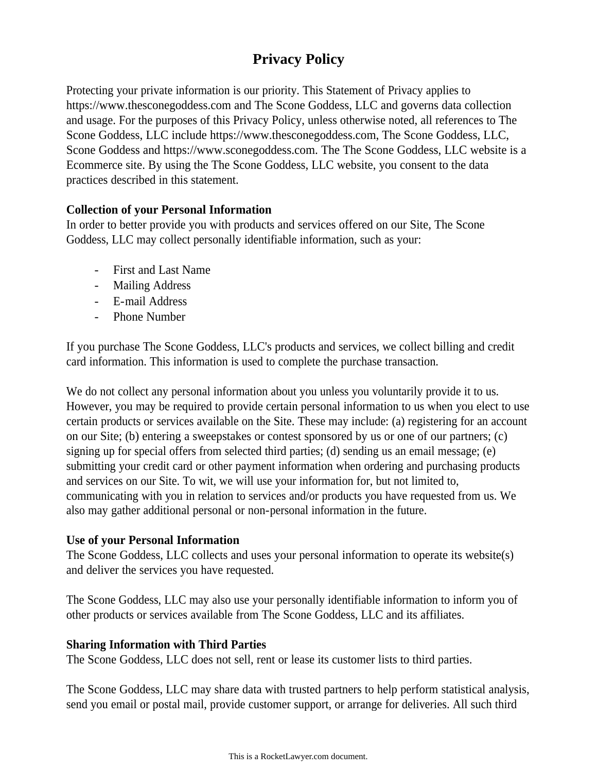# **Privacy Policy**

Protecting your private information is our priority. This Statement of Privacy applies to https://www.thesconegoddess.com and The Scone Goddess, LLC and governs data collection and usage. For the purposes of this Privacy Policy, unless otherwise noted, all references to The Scone Goddess, LLC include https://www.thesconegoddess.com, The Scone Goddess, LLC, Scone Goddess and https://www.sconegoddess.com. The The Scone Goddess, LLC website is a Ecommerce site. By using the The Scone Goddess, LLC website, you consent to the data practices described in this statement.

### **Collection of your Personal Information**

In order to better provide you with products and services offered on our Site, The Scone Goddess, LLC may collect personally identifiable information, such as your:

- First and Last Name
- Mailing Address
- E-mail Address
- Phone Number

If you purchase The Scone Goddess, LLC's products and services, we collect billing and credit card information. This information is used to complete the purchase transaction.

We do not collect any personal information about you unless you voluntarily provide it to us. However, you may be required to provide certain personal information to us when you elect to use certain products or services available on the Site. These may include: (a) registering for an account on our Site; (b) entering a sweepstakes or contest sponsored by us or one of our partners; (c) signing up for special offers from selected third parties; (d) sending us an email message; (e) submitting your credit card or other payment information when ordering and purchasing products and services on our Site. To wit, we will use your information for, but not limited to, communicating with you in relation to services and/or products you have requested from us. We also may gather additional personal or non-personal information in the future.

### **Use of your Personal Information**

The Scone Goddess, LLC collects and uses your personal information to operate its website(s) and deliver the services you have requested.

The Scone Goddess, LLC may also use your personally identifiable information to inform you of other products or services available from The Scone Goddess, LLC and its affiliates.

### **Sharing Information with Third Parties**

The Scone Goddess, LLC does not sell, rent or lease its customer lists to third parties.

The Scone Goddess, LLC may share data with trusted partners to help perform statistical analysis, send you email or postal mail, provide customer support, or arrange for deliveries. All such third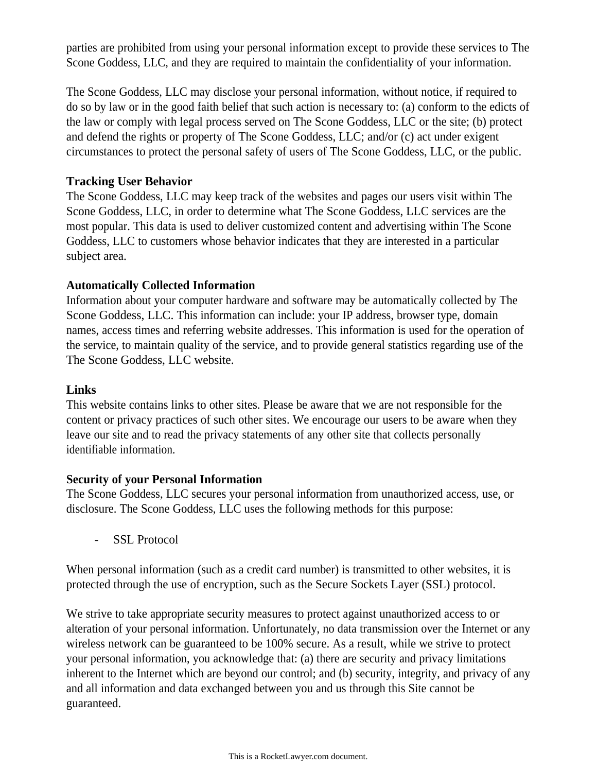parties are prohibited from using your personal information except to provide these services to The Scone Goddess, LLC, and they are required to maintain the confidentiality of your information.

The Scone Goddess, LLC may disclose your personal information, without notice, if required to do so by law or in the good faith belief that such action is necessary to: (a) conform to the edicts of the law or comply with legal process served on The Scone Goddess, LLC or the site; (b) protect and defend the rights or property of The Scone Goddess, LLC; and/or (c) act under exigent circumstances to protect the personal safety of users of The Scone Goddess, LLC, or the public.

## **Tracking User Behavior**

The Scone Goddess, LLC may keep track of the websites and pages our users visit within The Scone Goddess, LLC, in order to determine what The Scone Goddess, LLC services are the most popular. This data is used to deliver customized content and advertising within The Scone Goddess, LLC to customers whose behavior indicates that they are interested in a particular subject area.

## **Automatically Collected Information**

Information about your computer hardware and software may be automatically collected by The Scone Goddess, LLC. This information can include: your IP address, browser type, domain names, access times and referring website addresses. This information is used for the operation of the service, to maintain quality of the service, and to provide general statistics regarding use of the The Scone Goddess, LLC website.

### **Links**

This website contains links to other sites. Please be aware that we are not responsible for the content or privacy practices of such other sites. We encourage our users to be aware when they leave our site and to read the privacy statements of any other site that collects personally identifiable information.

### **Security of your Personal Information**

The Scone Goddess, LLC secures your personal information from unauthorized access, use, or disclosure. The Scone Goddess, LLC uses the following methods for this purpose:

- SSL Protocol

When personal information (such as a credit card number) is transmitted to other websites, it is protected through the use of encryption, such as the Secure Sockets Layer (SSL) protocol.

We strive to take appropriate security measures to protect against unauthorized access to or alteration of your personal information. Unfortunately, no data transmission over the Internet or any wireless network can be guaranteed to be 100% secure. As a result, while we strive to protect your personal information, you acknowledge that: (a) there are security and privacy limitations inherent to the Internet which are beyond our control; and (b) security, integrity, and privacy of any and all information and data exchanged between you and us through this Site cannot be guaranteed.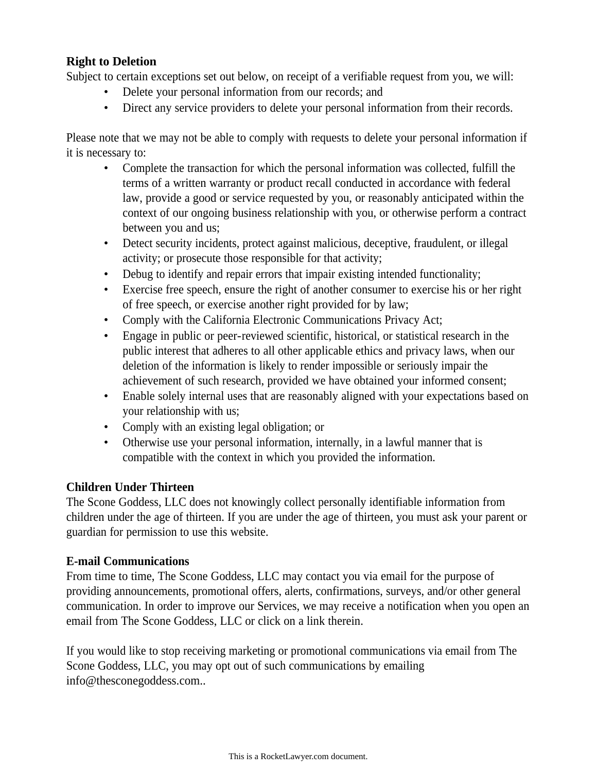#### **Right to Deletion**

Subject to certain exceptions set out below, on receipt of a verifiable request from you, we will:

- Delete your personal information from our records; and
- Direct any service providers to delete your personal information from their records.

Please note that we may not be able to comply with requests to delete your personal information if it is necessary to:

- Complete the transaction for which the personal information was collected, fulfill the terms of a written warranty or product recall conducted in accordance with federal law, provide a good or service requested by you, or reasonably anticipated within the context of our ongoing business relationship with you, or otherwise perform a contract between you and us;
- Detect security incidents, protect against malicious, deceptive, fraudulent, or illegal activity; or prosecute those responsible for that activity;
- Debug to identify and repair errors that impair existing intended functionality;
- Exercise free speech, ensure the right of another consumer to exercise his or her right of free speech, or exercise another right provided for by law;
- Comply with the California Electronic Communications Privacy Act;
- Engage in public or peer-reviewed scientific, historical, or statistical research in the public interest that adheres to all other applicable ethics and privacy laws, when our deletion of the information is likely to render impossible or seriously impair the achievement of such research, provided we have obtained your informed consent;
- Enable solely internal uses that are reasonably aligned with your expectations based on your relationship with us;
- Comply with an existing legal obligation; or
- Otherwise use your personal information, internally, in a lawful manner that is compatible with the context in which you provided the information.

# **Children Under Thirteen**

The Scone Goddess, LLC does not knowingly collect personally identifiable information from children under the age of thirteen. If you are under the age of thirteen, you must ask your parent or guardian for permission to use this website.

### **E-mail Communications**

From time to time, The Scone Goddess, LLC may contact you via email for the purpose of providing announcements, promotional offers, alerts, confirmations, surveys, and/or other general communication. In order to improve our Services, we may receive a notification when you open an email from The Scone Goddess, LLC or click on a link therein.

If you would like to stop receiving marketing or promotional communications via email from The Scone Goddess, LLC, you may opt out of such communications by emailing info@thesconegoddess.com..